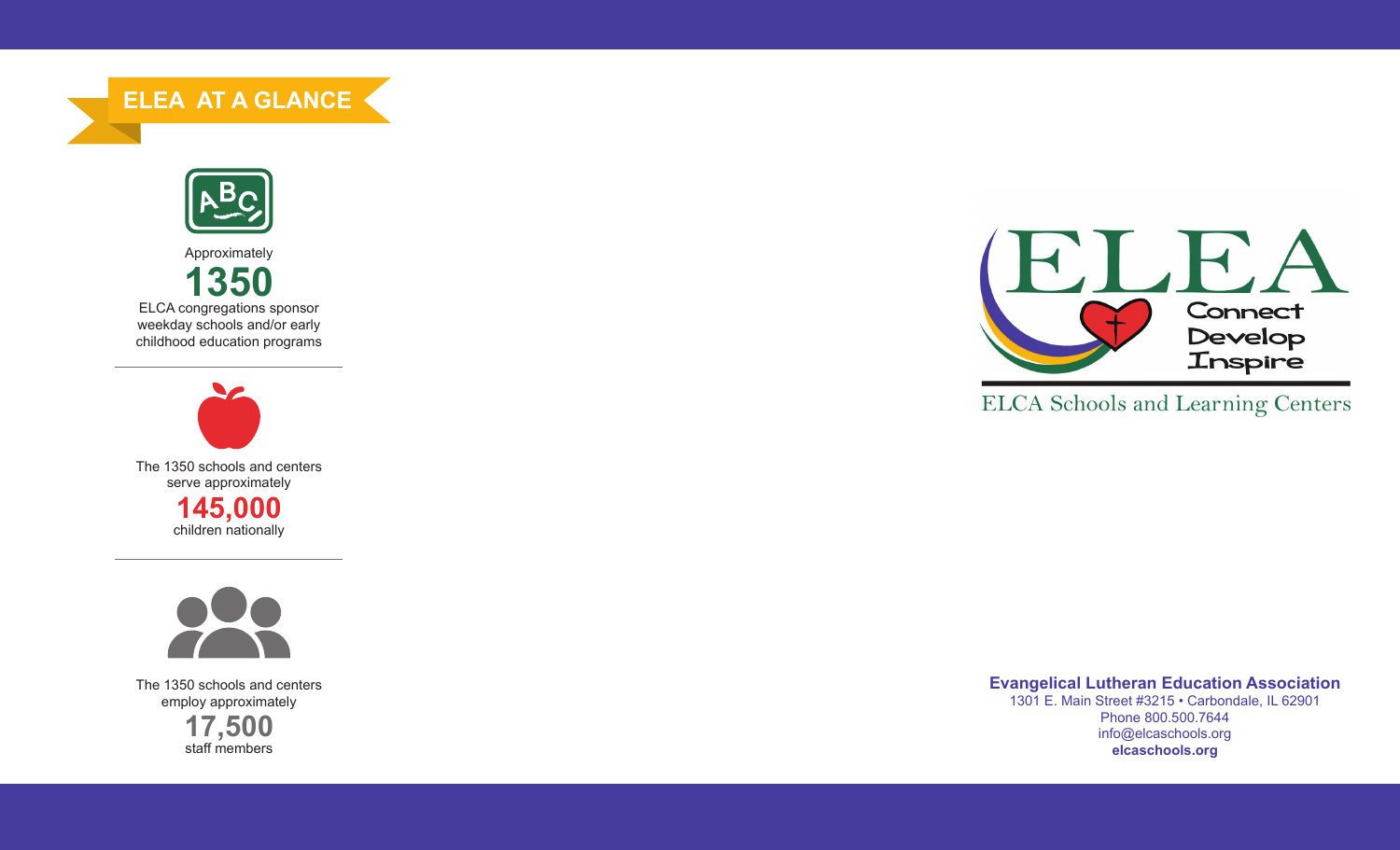**ELEA AT A GLANCE**



Approximately



weekday schools and/or early childhood education programs





The 1350 schools and centers employ approximately **17,500**

staff members



**ELCA** Schools and Learning Centers

**Evangelical Lutheran Education Association** 1301 E. Main Street #3215 • Carbondale, IL 62901 Phone 800.500.7644 info@elcaschools.org **elcaschools.org**